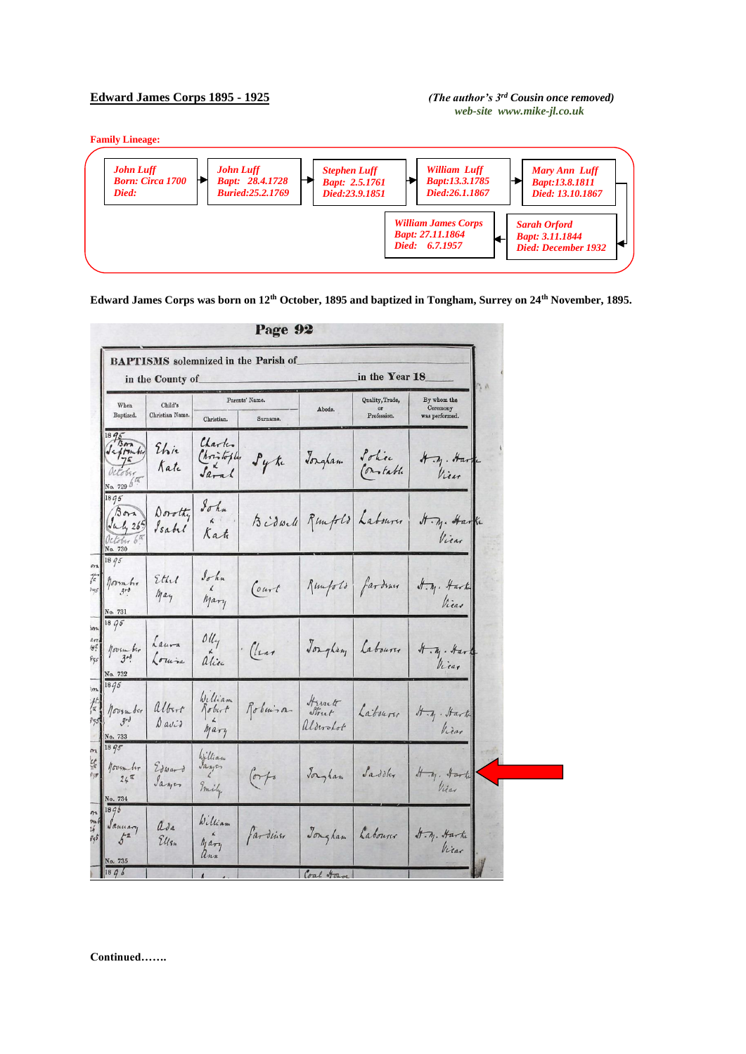## **Edward James Corps 1895 - 1925** *(The author's 3rd Cousin once removed)*

## *web-site www.mike-jl.co.uk*

**Family Lineage:**



**Edward James Corps was born on 12th October, 1895 and baptized in Tongham, Surrey on 24th November, 1895.** 

|                                                       | in the County of           |                                 |                                |                          | in the Year 18                       |                                           |  |  |
|-------------------------------------------------------|----------------------------|---------------------------------|--------------------------------|--------------------------|--------------------------------------|-------------------------------------------|--|--|
| When<br>Baptized.                                     | Child's<br>Christian Name. | Christian.                      | Parents' Name.<br>Surname.     | Abode.                   | Quality, Trade,<br>or<br>Profession. | By whom the<br>Ceremony<br>was performed. |  |  |
| 95<br>Saftmburg<br>October<br>No. 729 $6\%$           | Elie<br>Kate               | Charles<br>Christopler<br>Sarah | $\mathcal{F}_{\mathcal{Y}}$ ti | Jongham                  | Solice<br>Constable                  | H.M. Harri<br>Vien                        |  |  |
| 18q5<br>$B$ ora<br>July 265<br>October 6th<br>No. 730 | Dorothy<br>Isabel          | $8\sigma h$<br>Kat              |                                | Bidwell Rumfold Labourer |                                      | H.M. Harke<br>Vicar                       |  |  |
| 18 95<br>normbir<br>$3 - 8$<br>No. 731                | Ethel<br>May               | $\int_{\alpha}$<br>Mary         | Court                          | Remporto fardence        |                                      | $H. \eta.$ Hark<br>Vicas                  |  |  |
| 1895<br>$100$ sm ber<br>No. 732                       | Laura<br>Louisa            | $\delta l l_{\gamma}$<br>alice  | $\cdot$ (lear                  | Josephan                 | Labourer                             | $\sqrt{1-\eta}$ . Har<br>Vicar            |  |  |
| 1895<br>November<br>$3r\delta$<br>No. 733             | albert<br>$0$ avid         | William<br>Robert<br>Mary       | Roberisa                       | Harrett<br>aldershot     | Labourer                             | It in . It ark<br>Viear                   |  |  |
| 1895<br>november<br>$24^{\frac{\pi}{4}}$<br>No. 734   | Edward<br>Sayer            | William<br>Emily                | or f                           | Jorgham                  | Saddler                              | It .M. Harte<br>Vicar                     |  |  |
| 18q6<br>January<br>$5^{\frac{1}{2}}$<br>No. 735       | asa<br>Ellen               | William<br>Mary<br>ann          | farding                        | Jongham                  | Labourer                             | A.M. Harke<br>Vicar                       |  |  |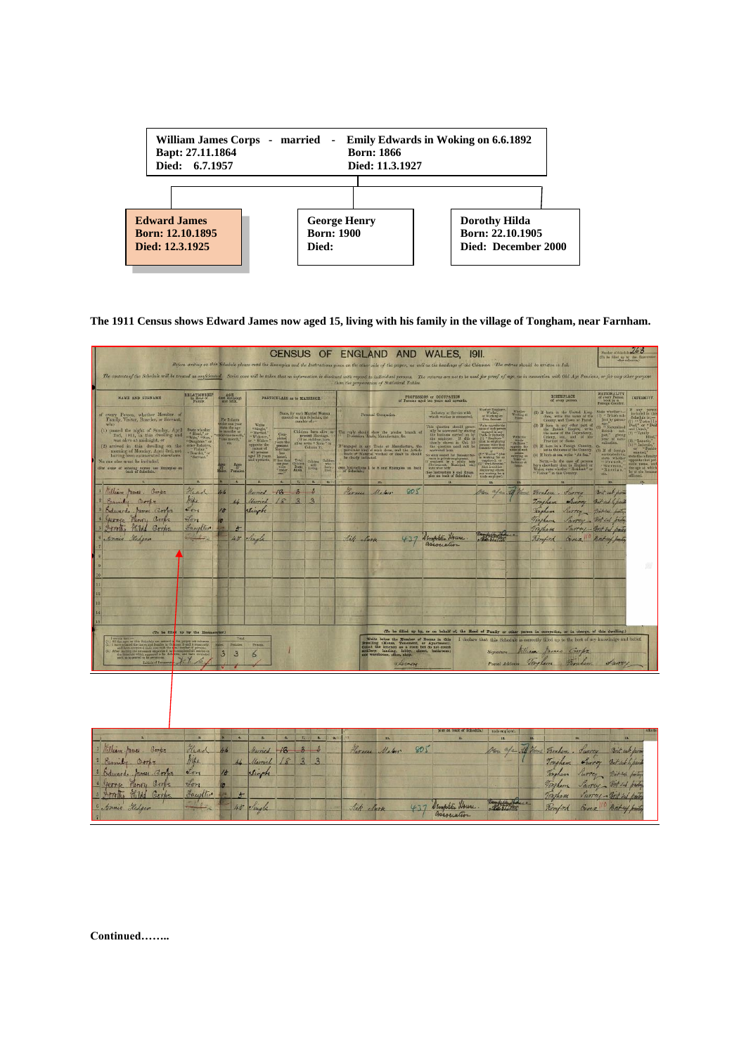

**The 1911 Census shows Edward James now aged 15, living with his family in the village of Tongham, near Farnham.** 

| Number of Schools 263<br>CENSUS OF ENGLAND AND<br>WALES.<br>I9II.<br>(To be filled up by the Em<br>Defore writing on this Schedale please read the Examples and the Instructions given on the other side of the paper, as well as the headings of the Columns. The entries should be written in InE<br>The contents of the Schedule will be treated as confidential. Strict care will be taken that no information is disclosed sich regard to indicidual persons. The returns are not to be used for proof of age, as in connection |                                                                                                                                                                                                                                                      |                                                                                                                            |                                                                                                                                                                                                                                                                                     |                                                                                                                                                                                                                                                                                                                                                                                                                                                                                                                                                                                                                    |                                                                                                                                                                                                                                                                                                                 |                                                                         |                    |                                                                                                                                                                                                                                                                                                         |            |                                                                                                                                                                                                                                                                                                                                                                                                                                                                                                                |                                                                                                                                                                                                                                                                                                                                                                                                                                                                                                                                                                                                                                                                                                                                                      |                                                     |                                                                                                                                                                                                                                                                                                                                                                                                                                                                                                               |                                                                                                                                                                                                  |                                                                                                                                                                                                |                                                                                                                                                                                                                                                                                                                           |
|--------------------------------------------------------------------------------------------------------------------------------------------------------------------------------------------------------------------------------------------------------------------------------------------------------------------------------------------------------------------------------------------------------------------------------------------------------------------------------------------------------------------------------------|------------------------------------------------------------------------------------------------------------------------------------------------------------------------------------------------------------------------------------------------------|----------------------------------------------------------------------------------------------------------------------------|-------------------------------------------------------------------------------------------------------------------------------------------------------------------------------------------------------------------------------------------------------------------------------------|--------------------------------------------------------------------------------------------------------------------------------------------------------------------------------------------------------------------------------------------------------------------------------------------------------------------------------------------------------------------------------------------------------------------------------------------------------------------------------------------------------------------------------------------------------------------------------------------------------------------|-----------------------------------------------------------------------------------------------------------------------------------------------------------------------------------------------------------------------------------------------------------------------------------------------------------------|-------------------------------------------------------------------------|--------------------|---------------------------------------------------------------------------------------------------------------------------------------------------------------------------------------------------------------------------------------------------------------------------------------------------------|------------|----------------------------------------------------------------------------------------------------------------------------------------------------------------------------------------------------------------------------------------------------------------------------------------------------------------------------------------------------------------------------------------------------------------------------------------------------------------------------------------------------------------|------------------------------------------------------------------------------------------------------------------------------------------------------------------------------------------------------------------------------------------------------------------------------------------------------------------------------------------------------------------------------------------------------------------------------------------------------------------------------------------------------------------------------------------------------------------------------------------------------------------------------------------------------------------------------------------------------------------------------------------------------|-----------------------------------------------------|---------------------------------------------------------------------------------------------------------------------------------------------------------------------------------------------------------------------------------------------------------------------------------------------------------------------------------------------------------------------------------------------------------------------------------------------------------------------------------------------------------------|--------------------------------------------------------------------------------------------------------------------------------------------------------------------------------------------------|------------------------------------------------------------------------------------------------------------------------------------------------------------------------------------------------|---------------------------------------------------------------------------------------------------------------------------------------------------------------------------------------------------------------------------------------------------------------------------------------------------------------------------|
| NAME AND SURNAME                                                                                                                                                                                                                                                                                                                                                                                                                                                                                                                     | RELATIONSHIP                                                                                                                                                                                                                                         | AGE<br>and SEX<br>PARTICULARS as to MARRIAGE.                                                                              |                                                                                                                                                                                                                                                                                     |                                                                                                                                                                                                                                                                                                                                                                                                                                                                                                                                                                                                                    |                                                                                                                                                                                                                                                                                                                 | than the preparation of Statistical Tables.<br>PROFESSION or OCCUPATION |                    |                                                                                                                                                                                                                                                                                                         |            |                                                                                                                                                                                                                                                                                                                                                                                                                                                                                                                | <b>BIRTHPLACE</b>                                                                                                                                                                                                                                                                                                                                                                                                                                                                                                                                                                                                                                                                                                                                    | of every person.                                    | NATIONALITY<br>of your Person<br>born in a                                                                                                                                                                                                                                                                                                                                                                                                                                                                    | INFIRMITY.                                                                                                                                                                                       |                                                                                                                                                                                                |                                                                                                                                                                                                                                                                                                                           |
| of every Person, whether Member of Family, Visitor, Boarder, or Servant,<br>who<br>(1) passed the night of Sunday, April 2nd, 1911, in this dwelling and was alive at midnight, or<br>(2) arrived in this dwelling on the morning of Monday, April 3rd, not<br>having been enumerated elsewhere.<br>No one else must be included.<br>For order of extering names see Examples on                                                                                                                                                     | State whether $\frac{\mu_{\rm EDM} \Gamma}{\mu_{\rm EDM}} \approx 8 \, {\rm cm}^{-3}$<br>which $\alpha_{\rm EDM} \sim 100$<br>where Education ( $\alpha_{\rm EDM} \sim 100$ ) . Writter $\alpha_{\rm EDM} \sim 100$<br>$\alpha_{\rm EDMDM} \sim 100$ | For Infants<br>For thinks<br>Bale the age<br>Bale the age<br>bar out month<br>tine month,"<br>etc.<br>Ages<br>Female<br>of | $\begin{array}{c} \text{Write} \\ = \text{Single}, \text{``} \\ \text{``Maxmed''} \\ \text{``Widow''}, \\ \text{or ``Widow''}, \\ \text{corresponds of}\\ \text{all persons} \\ \text{argd 15 years} \\ \text{and} \\ \text{intraity} \\ \text{and} \\ \text{intraity} \end{array}$ | $\begin{array}{l} \textbf{Com-} \\ \textbf{pointed} \\ \textbf{present} \\ \textbf{linear} \\ \textbf{has} \\ \textbf{lasted} \\ \textbf{in the shape} \\ \textbf{in the image} \\ \textbf{in the image} \\ \textbf{in the image} \\ \textbf{in the image} \\ \textbf{in the image} \\ \textbf{in the image} \\ \textbf{in the image} \\ \textbf{in the image} \\ \textbf{in the image} \\ \textbf{in the image} \\ \textbf{in the image} \\ \textbf{in the image} \\ \textbf{in the image} \\ \textbf{in the image} \\ \textbf{in the image} \\ \textbf{in the image} \\ \textbf{in the image} \\ \textbf{in the$ | State, for each Married Woman<br>entered on this Schedule, the<br>number of :-<br>Children bren alive to<br>$\begin{array}{c} \text{present Marrique} \\ \text{(If no children born} \\ \text{alive write "None "in Column 7)}. \end{array}$<br>Total Californ Children<br>Born Hong Inch<br>Alive, Living Died |                                                                         | See Instructions 1 | Paranul Occupation,<br>The reply abould show the precise branch of Precession, Trade, Manufacture, &c.<br>$^\circ$ comped in any Trade or Masufacture, the particular kind of work done, and the Article suble of Material worked or dealt in should be sharily indicated.<br>to 8 and Examples on back |            | Industry or Service with<br>which worker is connected.<br>This quantim ahould gener ally be a<br>moreced by stating the luminous carried on $\mathcal{V}_T$ this due over<br>the sampleyer. If this is complexed in the sampleyer. If this is the quantion metal of<br>a $10$ lb. If any station used<br>No cause tended for Demonic Sec. $\mathcal{U}$ , we<br>are an province and provincial body $\mathcal{U}$ , which<br>is body once when body .<br>(See Instruction 9 and Examples on back of Schodule.) | Whether Englepe<br>Worker,<br>or Warking on<br>Own Account<br>Write uppeaks the same of each person $\arg\max_{\{0,1\} \in \mathcal{P}\}}$ Trade or Industry, $\lim_{\mathcal{P} \to \mathcal{P}}$ When is supported to the same of the same of the same of the same of the same of the $\log$<br>dressific servants).<br>$\begin{array}{l} \hbox{(2)} - \hbox{Weker} = \hbox{(3)} \\ \hbox{(4)} - \hbox{Weker} = \hbox{(4)} \\ \hbox{(4)} - \hbox{weching free as} \end{array}$<br>$\begin{tabular}{ c c } \hline \texttt{supfig} (opt), & or \\ \hline \texttt{3}^{\prime\prime} = \texttt{Oend}, & \texttt{Oend} \\ \hline \hline \texttt{supfig} (tag) & \texttt{there} \\ \hline \texttt{and} & \texttt{supfig} (opt). \\ \hline \end{tabular}$ | Weeking at<br>Write the<br>"At Bane"<br>"Openie the | $(2) \  \, \mbox{If} \  \  \, \mbox{hom-in. any other part of} \\ \mbox{the. Brainh. Engiew, writing} \\ \mbox{the name of the. Popmformes, and} \\ \mbox{Chowry,} \  \  \, \mbox{the. and} \  \  \, \mbox{of. the.} \\ \mbox{Provines or State.} \end{array}$<br>(3) H been in a Foreign Country.<br>write the name of the Country.<br>(4) If born at sea, write " At Sea."<br>Norm.—In the case of persons here observers than in England or Wales, state whicher "Resultant" or "Visitor" in this Country. | $\begin{tabular}{ll} (1) \hline \texttt{H} & born in \texttt{ the United King} \\ \texttt{dom}, \texttt{ write the name of the} \\ \texttt{Country}, \texttt{and Town or Farish}. \end{tabular}$ | State whether<br>" British sub-<br>Age." Naturalized<br>British sub-<br>ject," giving<br>year of natu-<br>ralisation.<br>If of foreign<br>mationality,<br>state whether<br>-Bussian,<br>erte." | any pens<br>Schedule is :-<br>$\begin{array}{ll} (1) \ \cdots \ \text{Total1} \\ \text{Dend}^* \ \text{or} \ \text{T} \text{Dess} \\ \text{and } \text{Domh}^* \\ (2) \ \cdots \ \text{Totally} \end{array}$<br>(3) "Lunatic,<br>or<br>state the infirm<br>opposite that pe<br>summer alune.<br>age at which<br>affirmed. |
| Milliam Mares. Borps<br>Emily Corps<br>Edward James Gorbs<br>George Henry Corps<br>Forthe Hild Gorbs<br>Annie Hedger                                                                                                                                                                                                                                                                                                                                                                                                                 | $\overline{\mathbf{z}}$<br>Head<br>Mile<br>et ong<br>$\sqrt{2\pi}$<br>Sampler                                                                                                                                                                        | ×.<br>46<br>44<br>16<br>$\sigma$<br>$\frac{1}{2}$<br>45                                                                    | п<br>Harried<br>Unried<br>Singh<br>Jengle                                                                                                                                                                                                                                           | ×<br>18<br>18                                                                                                                                                                                                                                                                                                                                                                                                                                                                                                                                                                                                      | $T_{\rm H}$<br>п<br>$\hat{p}$<br>$\rightarrow$<br>$\mathbf{B}$<br>$\mathbf{3}$                                                                                                                                                                                                                                  | <b>The</b>                                                              | Sick Mark          | Carness Mater                                                                                                                                                                                                                                                                                           | 805<br>437 | Demphili House<br>association<br>(To be filled up by, or on behalf of, the Mead of Family or other person in occupation, or in charge, of this dwelling.)                                                                                                                                                                                                                                                                                                                                                      | m.<br>Oca afa 14 Home<br>of of the                                                                                                                                                                                                                                                                                                                                                                                                                                                                                                                                                                                                                                                                                                                   |                                                     | Fornham . Vurrey<br>Tongham Furry But sub bypan<br>Torpham Parray - "Int Ind bridge<br>Towham                                                                                                                                                                                                                                                                                                                                                                                                                 |                                                                                                                                                                                                  | $\overline{15}$<br>Brit sale from<br>Trigham Purrey British protega<br>Purray - Brit sul boites<br>Remford Exec Britary party                                                                  |                                                                                                                                                                                                                                                                                                                           |
| (To be filled up by the Ennison<br>Initials of European Y. Y.                                                                                                                                                                                                                                                                                                                                                                                                                                                                        |                                                                                                                                                                                                                                                      | Fernise<br>$\overline{\mathbf{3}}$<br>$\mathbf{3}$                                                                         | Presin<br>6                                                                                                                                                                                                                                                                         |                                                                                                                                                                                                                                                                                                                                                                                                                                                                                                                                                                                                                    |                                                                                                                                                                                                                                                                                                                 |                                                                         |                    | Write below the Number of Rooms in this Dwelling (House, Tenement, or Apartment).<br>Count the kitchen as a room but do not count the kitchen as a room but do not count selliery. Indiang, labby, sheet, bathroom;<br>not warehouse                                                                    | Leven      |                                                                                                                                                                                                                                                                                                                                                                                                                                                                                                                |                                                                                                                                                                                                                                                                                                                                                                                                                                                                                                                                                                                                                                                                                                                                                      |                                                     | I declare that this Schedule is correctly filled up to the best of my knowledge and belief.<br>Signature Villiam James Corps<br>Postal Address Tougham Harnham                                                                                                                                                                                                                                                                                                                                                |                                                                                                                                                                                                  | funy                                                                                                                                                                                           |                                                                                                                                                                                                                                                                                                                           |
|                                                                                                                                                                                                                                                                                                                                                                                                                                                                                                                                      |                                                                                                                                                                                                                                                      |                                                                                                                            |                                                                                                                                                                                                                                                                                     |                                                                                                                                                                                                                                                                                                                                                                                                                                                                                                                                                                                                                    |                                                                                                                                                                                                                                                                                                                 |                                                                         |                    |                                                                                                                                                                                                                                                                                                         |            |                                                                                                                                                                                                                                                                                                                                                                                                                                                                                                                |                                                                                                                                                                                                                                                                                                                                                                                                                                                                                                                                                                                                                                                                                                                                                      |                                                     |                                                                                                                                                                                                                                                                                                                                                                                                                                                                                                               |                                                                                                                                                                                                  |                                                                                                                                                                                                |                                                                                                                                                                                                                                                                                                                           |
| L.<br>William James Gorps<br>Emily Corps<br>Edward James Corps<br>Henry Corps<br>yerrie:<br>Hildd<br>grother<br>Gorbs<br>Annie Hedgen                                                                                                                                                                                                                                                                                                                                                                                                | $\mathbf{z}$<br>Head<br>hipe<br>Lon<br>$\vec{v}_{m}$<br>Faulter                                                                                                                                                                                      | G.<br>46<br>44<br>15<br>10<br>$\frac{1}{2}$<br>$45 -$                                                                      | E<br>Harried<br>Married<br>Singh<br>Vingle                                                                                                                                                                                                                                          | ×<br>$-48$<br>18                                                                                                                                                                                                                                                                                                                                                                                                                                                                                                                                                                                                   | 7.1<br>$\overline{3}$                                                                                                                                                                                                                                                                                           | n.<br>1911<br>$\mathbf{R}$                                              | Lick Nurse         | 10.<br>Harney Maker                                                                                                                                                                                                                                                                                     | QQf<br>477 | ples on back of Schedule.)<br>n.<br>Demphtis House<br>gasociation                                                                                                                                                                                                                                                                                                                                                                                                                                              | trade employer)<br>12.<br>Section 1                                                                                                                                                                                                                                                                                                                                                                                                                                                                                                                                                                                                                                                                                                                  |                                                     | All Home<br>Torphery<br>Tongham<br>Romford                                                                                                                                                                                                                                                                                                                                                                                                                                                                    | 34<br>Fornham - Sworey<br>$6 - 10$                                                                                                                                                               | Brit sub por<br>Tougham Survey But tukh pain<br>Torgham Purrey District partir<br>Survey - Bit sel failey<br>Parrey - Mit 34 barte<br>Brit-sel pails                                           | 15.                                                                                                                                                                                                                                                                                                                       |

**Continued……..**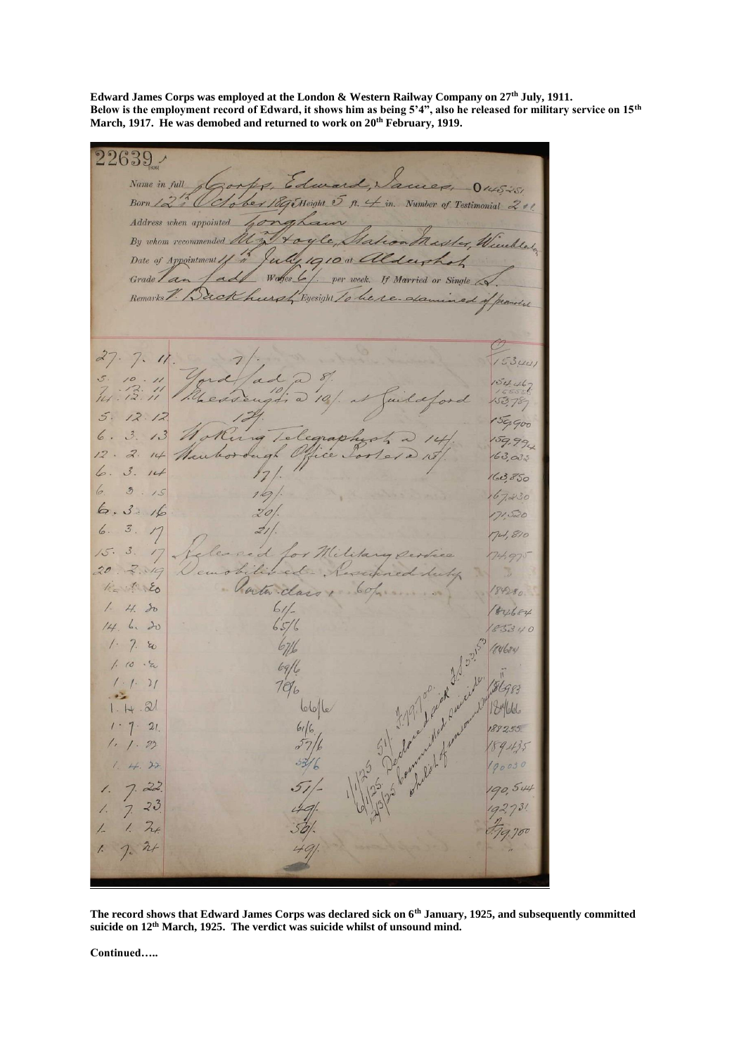**Edward James Corps was employed at the London & Western Railway Company on 27th July, 1911. Below is the employment record of Edward, it shows him as being 5'4", also he released for military service on 15th March, 1917. He was demobed and returned to work on 20 th February, 1919.** 

 $22639$ Name in full Corps, Edward, Vacue  $0.4505$ Born 12 2 October 1895 Height 5 n. 4 in. Number of Testimonial 201 Address when appointed By whom recommended  $\mathcal{A}$  $\times$ Date of Appointment Q 1910 at aldersha Wares 6 If Married or Single Grade Lan per week Remarks V. Back spl Eyesight to be re- da  $7.$  $27$  $\frac{1}{2}$  $53\mu$  $154.46$  $\frac{1}{2}$ 15378  $5.$  $12.12$  $59900$  $6.3.$  $13$ ele  $159.99$  $12.2.$  $14$  $163,033$  $6.$  $3.14$  $63850$  $6. 3.15$  $67230$  $6.3.16$ 171520  $6.$  $\mathcal{Z}$ 74,810 red  $15.$  $\mathcal{Z}_{\mathcal{S}}$  $17$  $20$ lived  $2.19$  $1.56$ Vorter class! 84280  $1.4.50$  $84684$ 14 6.20 85340  $1 - 7.$  20 (14684)  $1.10$  $\cdot z$  $6911$  $\frac{2}{ }$  $706$  $1.14$  $.21$ 6616 184666  $1 - 7$  $21$ 188255  $1.1.22$  $1.44.$  $22$  $22$  $\sqrt{2}$  $7$  $541$  $\overline{1}$  $\frac{1}{7}$  $23$  $24$  $\prime$  $\frac{1}{2}$  $\overline{L}$  $24$ 

**The record shows that Edward James Corps was declared sick on 6th January, 1925, and subsequently committed suicide on 12th March, 1925. The verdict was suicide whilst of unsound mind.**

**Continued…..**